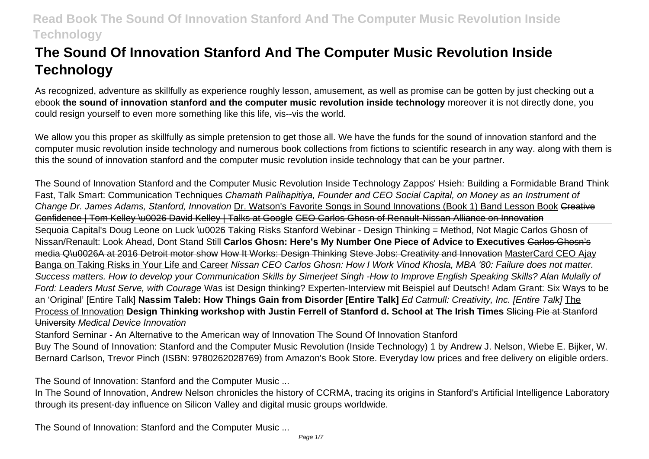# **The Sound Of Innovation Stanford And The Computer Music Revolution Inside Technology**

As recognized, adventure as skillfully as experience roughly lesson, amusement, as well as promise can be gotten by just checking out a ebook **the sound of innovation stanford and the computer music revolution inside technology** moreover it is not directly done, you could resign yourself to even more something like this life, vis--vis the world.

We allow you this proper as skillfully as simple pretension to get those all. We have the funds for the sound of innovation stanford and the computer music revolution inside technology and numerous book collections from fictions to scientific research in any way. along with them is this the sound of innovation stanford and the computer music revolution inside technology that can be your partner.

The Sound of Innovation Stanford and the Computer Music Revolution Inside Technology Zappos' Hsieh: Building a Formidable Brand Think Fast, Talk Smart: Communication Techniques Chamath Palihapitiya, Founder and CEO Social Capital, on Money as an Instrument of Change Dr. James Adams, Stanford, Innovation Dr. Watson's Favorite Songs in Sound Innovations (Book 1) Band Lesson Book Creative Confidence | Tom Kelley \u0026 David Kelley | Talks at Google CEO Carlos Ghosn of Renault-Nissan Alliance on Innovation Sequoia Capital's Doug Leone on Luck \u0026 Taking Risks Stanford Webinar - Design Thinking = Method, Not Magic Carlos Ghosn of Nissan/Renault: Look Ahead, Dont Stand Still **Carlos Ghosn: Here's My Number One Piece of Advice to Executives** Carlos Ghosn's media Q\u0026A at 2016 Detroit motor show How It Works: Design Thinking Steve Jobs: Creativity and Innovation MasterCard CEO Ajay Banga on Taking Risks in Your Life and Career Nissan CEO Carlos Ghosn: How I Work Vinod Khosla, MBA '80: Failure does not matter. Success matters. How to develop your Communication Skills by Simerjeet Singh -How to Improve English Speaking Skills? Alan Mulally of Ford: Leaders Must Serve, with Courage Was ist Design thinking? Experten-Interview mit Beispiel auf Deutsch! Adam Grant: Six Ways to be an 'Original' [Entire Talk] **Nassim Taleb: How Things Gain from Disorder [Entire Talk]** Ed Catmull: Creativity, Inc. [Entire Talk] The Process of Innovation **Design Thinking workshop with Justin Ferrell of Stanford d. School at The Irish Times** Slicing Pie at Stanford University Medical Device Innovation

Stanford Seminar - An Alternative to the American way of Innovation The Sound Of Innovation Stanford Buy The Sound of Innovation: Stanford and the Computer Music Revolution (Inside Technology) 1 by Andrew J. Nelson, Wiebe E. Bijker, W. Bernard Carlson, Trevor Pinch (ISBN: 9780262028769) from Amazon's Book Store. Everyday low prices and free delivery on eligible orders.

The Sound of Innovation: Stanford and the Computer Music ...

In The Sound of Innovation, Andrew Nelson chronicles the history of CCRMA, tracing its origins in Stanford's Artificial Intelligence Laboratory through its present-day influence on Silicon Valley and digital music groups worldwide.

The Sound of Innovation: Stanford and the Computer Music ...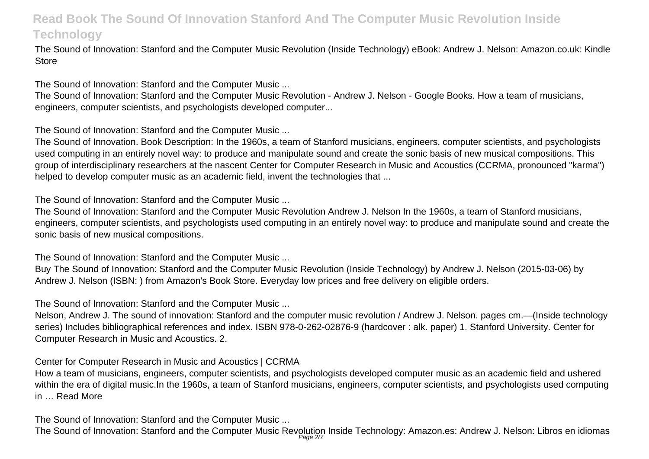The Sound of Innovation: Stanford and the Computer Music Revolution (Inside Technology) eBook: Andrew J. Nelson: Amazon.co.uk: Kindle **Store** 

The Sound of Innovation: Stanford and the Computer Music ...

The Sound of Innovation: Stanford and the Computer Music Revolution - Andrew J. Nelson - Google Books. How a team of musicians, engineers, computer scientists, and psychologists developed computer...

The Sound of Innovation: Stanford and the Computer Music ...

The Sound of Innovation. Book Description: In the 1960s, a team of Stanford musicians, engineers, computer scientists, and psychologists used computing in an entirely novel way: to produce and manipulate sound and create the sonic basis of new musical compositions. This group of interdisciplinary researchers at the nascent Center for Computer Research in Music and Acoustics (CCRMA, pronounced "karma") helped to develop computer music as an academic field, invent the technologies that ...

The Sound of Innovation: Stanford and the Computer Music ...

The Sound of Innovation: Stanford and the Computer Music Revolution Andrew J. Nelson In the 1960s, a team of Stanford musicians, engineers, computer scientists, and psychologists used computing in an entirely novel way: to produce and manipulate sound and create the sonic basis of new musical compositions.

The Sound of Innovation: Stanford and the Computer Music ...

Buy The Sound of Innovation: Stanford and the Computer Music Revolution (Inside Technology) by Andrew J. Nelson (2015-03-06) by Andrew J. Nelson (ISBN: ) from Amazon's Book Store. Everyday low prices and free delivery on eligible orders.

The Sound of Innovation: Stanford and the Computer Music ...

Nelson, Andrew J. The sound of innovation: Stanford and the computer music revolution / Andrew J. Nelson. pages cm.—(Inside technology series) Includes bibliographical references and index. ISBN 978-0-262-02876-9 (hardcover : alk. paper) 1. Stanford University. Center for Computer Research in Music and Acoustics. 2.

Center for Computer Research in Music and Acoustics | CCRMA

How a team of musicians, engineers, computer scientists, and psychologists developed computer music as an academic field and ushered within the era of digital music. In the 1960s, a team of Stanford musicians, engineers, computer scientists, and psychologists used computing in … Read More

The Sound of Innovation: Stanford and the Computer Music ...

The Sound of Innovation: Stanford and the Computer Music Revolution Inside Technology: Amazon.es: Andrew J. Nelson: Libros en idiomas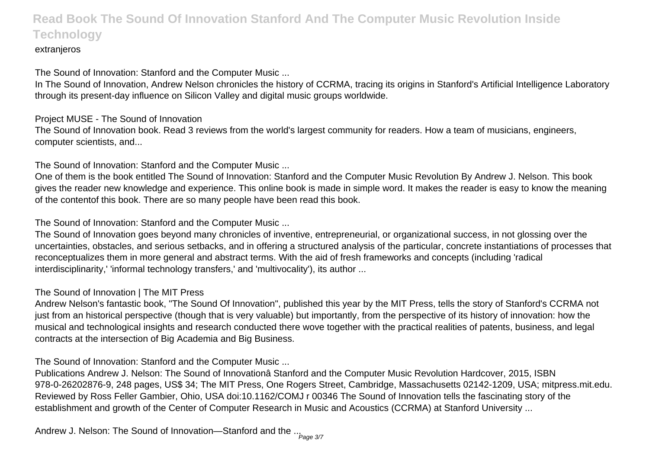#### extranieros

The Sound of Innovation: Stanford and the Computer Music ...

In The Sound of Innovation, Andrew Nelson chronicles the history of CCRMA, tracing its origins in Stanford's Artificial Intelligence Laboratory through its present-day influence on Silicon Valley and digital music groups worldwide.

#### Project MUSE - The Sound of Innovation

The Sound of Innovation book. Read 3 reviews from the world's largest community for readers. How a team of musicians, engineers, computer scientists, and...

The Sound of Innovation: Stanford and the Computer Music ...

One of them is the book entitled The Sound of Innovation: Stanford and the Computer Music Revolution By Andrew J. Nelson. This book gives the reader new knowledge and experience. This online book is made in simple word. It makes the reader is easy to know the meaning of the contentof this book. There are so many people have been read this book.

The Sound of Innovation: Stanford and the Computer Music ...

The Sound of Innovation goes beyond many chronicles of inventive, entrepreneurial, or organizational success, in not glossing over the uncertainties, obstacles, and serious setbacks, and in offering a structured analysis of the particular, concrete instantiations of processes that reconceptualizes them in more general and abstract terms. With the aid of fresh frameworks and concepts (including 'radical interdisciplinarity,' 'informal technology transfers,' and 'multivocality'), its author ...

#### The Sound of Innovation | The MIT Press

Andrew Nelson's fantastic book, "The Sound Of Innovation", published this year by the MIT Press, tells the story of Stanford's CCRMA not just from an historical perspective (though that is very valuable) but importantly, from the perspective of its history of innovation; how the musical and technological insights and research conducted there wove together with the practical realities of patents, business, and legal contracts at the intersection of Big Academia and Big Business.

The Sound of Innovation: Stanford and the Computer Music ...

Publications Andrew J. Nelson: The Sound of Innovationâ Stanford and the Computer Music Revolution Hardcover, 2015, ISBN 978-0-26202876-9, 248 pages, US\$ 34; The MIT Press, One Rogers Street, Cambridge, Massachusetts 02142-1209, USA; mitpress.mit.edu. Reviewed by Ross Feller Gambier, Ohio, USA doi:10.1162/COMJ r 00346 The Sound of Innovation tells the fascinating story of the establishment and growth of the Center of Computer Research in Music and Acoustics (CCRMA) at Stanford University ...

Andrew J. Nelson: The Sound of Innovation—Stanford and the  $_{\cdot \cdot \cdot_\mathsf{Page\ 3/7}}$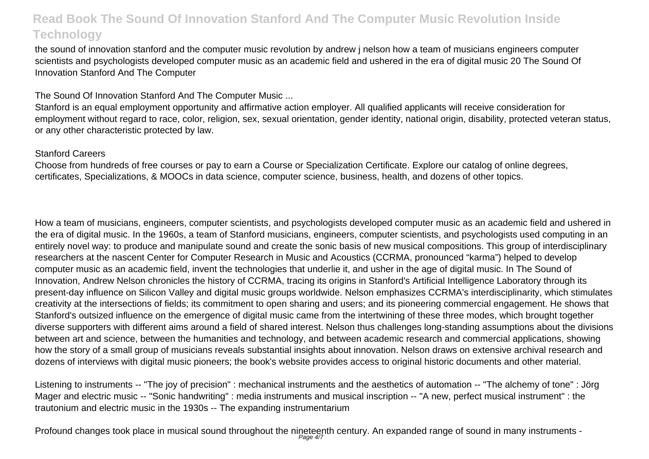the sound of innovation stanford and the computer music revolution by andrew j nelson how a team of musicians engineers computer scientists and psychologists developed computer music as an academic field and ushered in the era of digital music 20 The Sound Of Innovation Stanford And The Computer

The Sound Of Innovation Stanford And The Computer Music ...

Stanford is an equal employment opportunity and affirmative action employer. All qualified applicants will receive consideration for employment without regard to race, color, religion, sex, sexual orientation, gender identity, national origin, disability, protected veteran status, or any other characteristic protected by law.

#### Stanford Careers

Choose from hundreds of free courses or pay to earn a Course or Specialization Certificate. Explore our catalog of online degrees, certificates, Specializations, & MOOCs in data science, computer science, business, health, and dozens of other topics.

How a team of musicians, engineers, computer scientists, and psychologists developed computer music as an academic field and ushered in the era of digital music. In the 1960s, a team of Stanford musicians, engineers, computer scientists, and psychologists used computing in an entirely novel way: to produce and manipulate sound and create the sonic basis of new musical compositions. This group of interdisciplinary researchers at the nascent Center for Computer Research in Music and Acoustics (CCRMA, pronounced "karma") helped to develop computer music as an academic field, invent the technologies that underlie it, and usher in the age of digital music. In The Sound of Innovation, Andrew Nelson chronicles the history of CCRMA, tracing its origins in Stanford's Artificial Intelligence Laboratory through its present-day influence on Silicon Valley and digital music groups worldwide. Nelson emphasizes CCRMA's interdisciplinarity, which stimulates creativity at the intersections of fields; its commitment to open sharing and users; and its pioneering commercial engagement. He shows that Stanford's outsized influence on the emergence of digital music came from the intertwining of these three modes, which brought together diverse supporters with different aims around a field of shared interest. Nelson thus challenges long-standing assumptions about the divisions between art and science, between the humanities and technology, and between academic research and commercial applications, showing how the story of a small group of musicians reveals substantial insights about innovation. Nelson draws on extensive archival research and dozens of interviews with digital music pioneers; the book's website provides access to original historic documents and other material.

Listening to instruments -- "The joy of precision" : mechanical instruments and the aesthetics of automation -- "The alchemy of tone" : Jörg Mager and electric music -- "Sonic handwriting" : media instruments and musical inscription -- "A new, perfect musical instrument" : the trautonium and electric music in the 1930s -- The expanding instrumentarium

Profound changes took place in musical sound throughout the nineteenth century. An expanded range of sound in many instruments -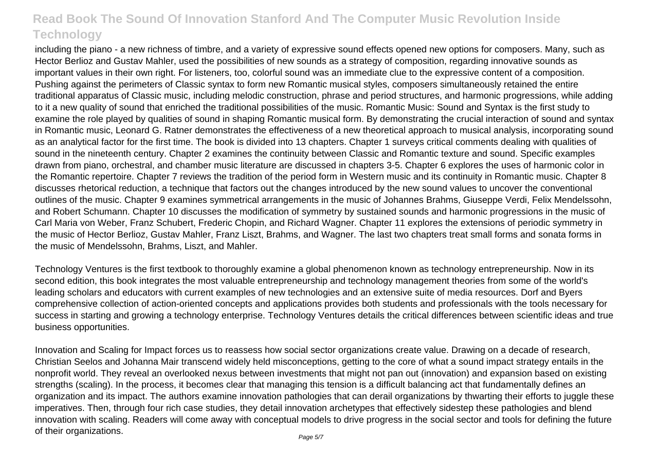including the piano - a new richness of timbre, and a variety of expressive sound effects opened new options for composers. Many, such as Hector Berlioz and Gustav Mahler, used the possibilities of new sounds as a strategy of composition, regarding innovative sounds as important values in their own right. For listeners, too, colorful sound was an immediate clue to the expressive content of a composition. Pushing against the perimeters of Classic syntax to form new Romantic musical styles, composers simultaneously retained the entire traditional apparatus of Classic music, including melodic construction, phrase and period structures, and harmonic progressions, while adding to it a new quality of sound that enriched the traditional possibilities of the music. Romantic Music: Sound and Syntax is the first study to examine the role played by qualities of sound in shaping Romantic musical form. By demonstrating the crucial interaction of sound and syntax in Romantic music, Leonard G. Ratner demonstrates the effectiveness of a new theoretical approach to musical analysis, incorporating sound as an analytical factor for the first time. The book is divided into 13 chapters. Chapter 1 surveys critical comments dealing with qualities of sound in the nineteenth century. Chapter 2 examines the continuity between Classic and Romantic texture and sound. Specific examples drawn from piano, orchestral, and chamber music literature are discussed in chapters 3-5. Chapter 6 explores the uses of harmonic color in the Romantic repertoire. Chapter 7 reviews the tradition of the period form in Western music and its continuity in Romantic music. Chapter 8 discusses rhetorical reduction, a technique that factors out the changes introduced by the new sound values to uncover the conventional outlines of the music. Chapter 9 examines symmetrical arrangements in the music of Johannes Brahms, Giuseppe Verdi, Felix Mendelssohn, and Robert Schumann. Chapter 10 discusses the modification of symmetry by sustained sounds and harmonic progressions in the music of Carl Maria von Weber, Franz Schubert, Frederic Chopin, and Richard Wagner. Chapter 11 explores the extensions of periodic symmetry in the music of Hector Berlioz, Gustav Mahler, Franz Liszt, Brahms, and Wagner. The last two chapters treat small forms and sonata forms in the music of Mendelssohn, Brahms, Liszt, and Mahler.

Technology Ventures is the first textbook to thoroughly examine a global phenomenon known as technology entrepreneurship. Now in its second edition, this book integrates the most valuable entrepreneurship and technology management theories from some of the world's leading scholars and educators with current examples of new technologies and an extensive suite of media resources. Dorf and Byers comprehensive collection of action-oriented concepts and applications provides both students and professionals with the tools necessary for success in starting and growing a technology enterprise. Technology Ventures details the critical differences between scientific ideas and true business opportunities.

Innovation and Scaling for Impact forces us to reassess how social sector organizations create value. Drawing on a decade of research, Christian Seelos and Johanna Mair transcend widely held misconceptions, getting to the core of what a sound impact strategy entails in the nonprofit world. They reveal an overlooked nexus between investments that might not pan out (innovation) and expansion based on existing strengths (scaling). In the process, it becomes clear that managing this tension is a difficult balancing act that fundamentally defines an organization and its impact. The authors examine innovation pathologies that can derail organizations by thwarting their efforts to juggle these imperatives. Then, through four rich case studies, they detail innovation archetypes that effectively sidestep these pathologies and blend innovation with scaling. Readers will come away with conceptual models to drive progress in the social sector and tools for defining the future of their organizations.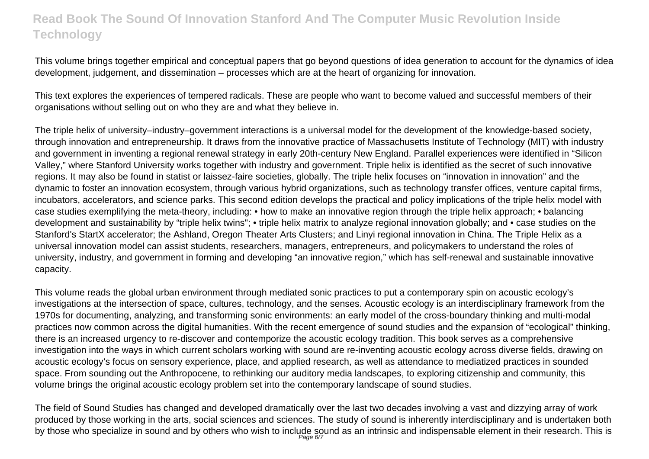This volume brings together empirical and conceptual papers that go beyond questions of idea generation to account for the dynamics of idea development, judgement, and dissemination – processes which are at the heart of organizing for innovation.

This text explores the experiences of tempered radicals. These are people who want to become valued and successful members of their organisations without selling out on who they are and what they believe in.

The triple helix of university–industry–government interactions is a universal model for the development of the knowledge-based society, through innovation and entrepreneurship. It draws from the innovative practice of Massachusetts Institute of Technology (MIT) with industry and government in inventing a regional renewal strategy in early 20th-century New England. Parallel experiences were identified in "Silicon Valley," where Stanford University works together with industry and government. Triple helix is identified as the secret of such innovative regions. It may also be found in statist or laissez-faire societies, globally. The triple helix focuses on "innovation in innovation" and the dynamic to foster an innovation ecosystem, through various hybrid organizations, such as technology transfer offices, venture capital firms, incubators, accelerators, and science parks. This second edition develops the practical and policy implications of the triple helix model with case studies exemplifying the meta-theory, including: • how to make an innovative region through the triple helix approach; • balancing development and sustainability by "triple helix twins"; • triple helix matrix to analyze regional innovation globally; and • case studies on the Stanford's StartX accelerator; the Ashland, Oregon Theater Arts Clusters; and Linyi regional innovation in China. The Triple Helix as a universal innovation model can assist students, researchers, managers, entrepreneurs, and policymakers to understand the roles of university, industry, and government in forming and developing "an innovative region," which has self-renewal and sustainable innovative capacity.

This volume reads the global urban environment through mediated sonic practices to put a contemporary spin on acoustic ecology's investigations at the intersection of space, cultures, technology, and the senses. Acoustic ecology is an interdisciplinary framework from the 1970s for documenting, analyzing, and transforming sonic environments: an early model of the cross-boundary thinking and multi-modal practices now common across the digital humanities. With the recent emergence of sound studies and the expansion of "ecological" thinking, there is an increased urgency to re-discover and contemporize the acoustic ecology tradition. This book serves as a comprehensive investigation into the ways in which current scholars working with sound are re-inventing acoustic ecology across diverse fields, drawing on acoustic ecology's focus on sensory experience, place, and applied research, as well as attendance to mediatized practices in sounded space. From sounding out the Anthropocene, to rethinking our auditory media landscapes, to exploring citizenship and community, this volume brings the original acoustic ecology problem set into the contemporary landscape of sound studies.

The field of Sound Studies has changed and developed dramatically over the last two decades involving a vast and dizzying array of work produced by those working in the arts, social sciences and sciences. The study of sound is inherently interdisciplinary and is undertaken both by those who specialize in sound and by others who wish to include sound as an intrinsic and indispensable element in their research. This is